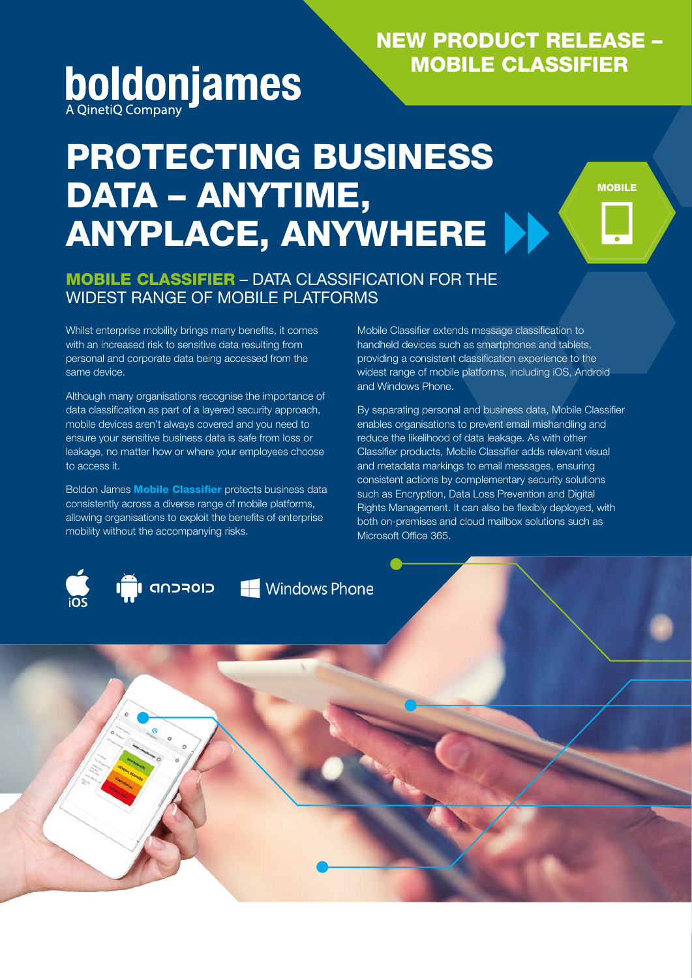# boldonjames

## NEW PRODUCT RELEASE – MOBILE CLASSIFIER

# PROTECTING BUSINESS DATA – ANYTIME, ANYPLACE, ANYWHERE

**MOBILE** 

### MOBILE CLASSIFIER – DATA CLASSIFICATION FOR THE WIDEST RANGE OF MOBILE PLATFORMS

Whilst enterprise mobility brings many benefits, it comes with an increased risk to sensitive data resulting from personal and corporate data being accessed from the same device.

Although many organisations recognise the importance of data classification as part of a layered security approach, mobile devices aren't always covered and you need to ensure your sensitive business data is safe from loss or leakage, no matter how or where your employees choose to access it.

Boldon James **Mobile Classifier** protects business data consistently across a diverse range of mobile platforms, allowing organisations to exploit the benefits of enterprise mobility without the accompanying risks.

Mobile Classifier extends message classification to handheld devices such as smartphones and tablets, providing a consistent classification experience to the widest range of mobile platforms, including iOS, Android and Windows Phone.

By separating personal and business data, Mobile Classifier enables organisations to prevent email mishandling and reduce the likelihood of data leakage. As with other Classifier products, Mobile Classifier adds relevant visual and metadata markings to email messages, ensuring consistent actions by complementary security solutions such as Encryption, Data Loss Prevention and Digital Rights Management. It can also be flexibly deployed, with both on-premises and cloud mailbox solutions such as Microsoft Office 365.